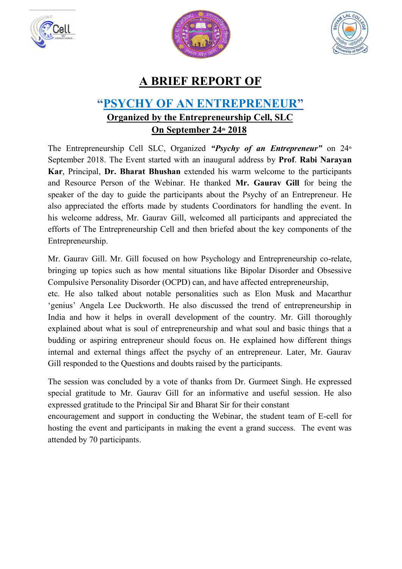





## **A BRIEF REPORT OF**

## **"PSYCHY OF AN ENTREPRENEUR" Organized by the Entrepreneurship Cell, SLC On September 24th 2018**

The Entrepreneurship Cell SLC, Organized "Psychy of an Entrepreneur" on 24<sup>th</sup> September 2018. The Event started with an inaugural address by **Prof**. **Rabi Narayan Kar**, Principal, **Dr. Bharat Bhushan** extended his warm welcome to the participants and Resource Person of the Webinar. He thanked **Mr. Gaurav Gill** for being the speaker of the day to guide the participants about the Psychy of an Entrepreneur. He also appreciated the efforts made by students Coordinators for handling the event. In his welcome address, Mr. Gaurav Gill, welcomed all participants and appreciated the efforts of The Entrepreneurship Cell and then briefed about the key components of the Entrepreneurship.

Mr. Gaurav Gill. Mr. Gill focused on how Psychology and Entrepreneurship co-relate, bringing up topics such as how mental situations like Bipolar Disorder and Obsessive Compulsive Personality Disorder (OCPD) can, and have affected entrepreneurship,

etc. He also talked about notable personalities such as Elon Musk and Macarthur 'genius' Angela Lee Duckworth. He also discussed the trend of entrepreneurship in India and how it helps in overall development of the country. Mr. Gill thoroughly explained about what is soul of entrepreneurship and what soul and basic things that a budding or aspiring entrepreneur should focus on. He explained how different things internal and external things affect the psychy of an entrepreneur. Later, Mr. Gaurav Gill responded to the Questions and doubts raised by the participants.

The session was concluded by a vote of thanks from Dr. Gurmeet Singh. He expressed special gratitude to Mr. Gaurav Gill for an informative and useful session. He also expressed gratitude to the Principal Sir and Bharat Sir for their constant

encouragement and support in conducting the Webinar, the student team of E-cell for hosting the event and participants in making the event a grand success. The event was attended by 70 participants.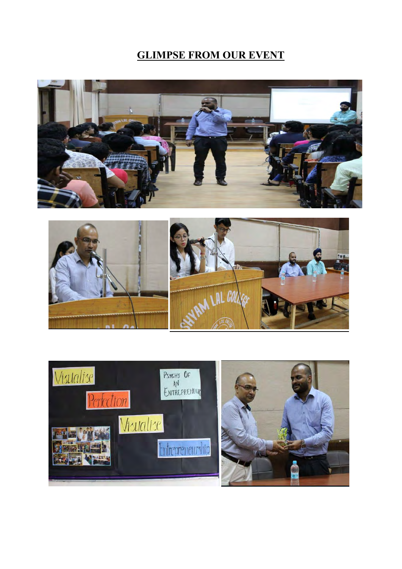## **GLIMPSE FROM OUR EVENT**